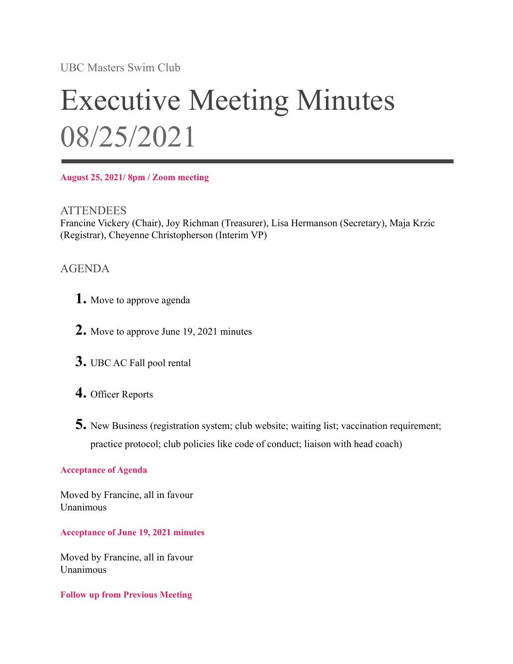UBC Masters Swim Club

# Executive Meeting Minutes 08/25/2021

**August 25, 2021/ 8pm / Zoom meeting**

**ATTENDEES** Francine Vickery (Chair), Joy Richman (Treasurer), Lisa Hermanson (Secretary), Maja Krzic (Registrar), Cheyenne Christopherson (Interim VP)

## AGENDA

- **1.** Move to approve agenda
- **2.** Move to approve June 19, 2021 minutes
- **3.** UBC AC Fall pool rental
- **4.** Officer Reports
- **5.** New Business (registration system; club website; waiting list; vaccination requirement; practice protocol; club policies like code of conduct; liaison with head coach)

#### **Acceptance of Agenda**

Moved by Francine, all in favour Unanimous

#### **Acceptance of June 19, 2021 minutes**

Moved by Francine, all in favour Unanimous

**Follow up from Previous Meeting**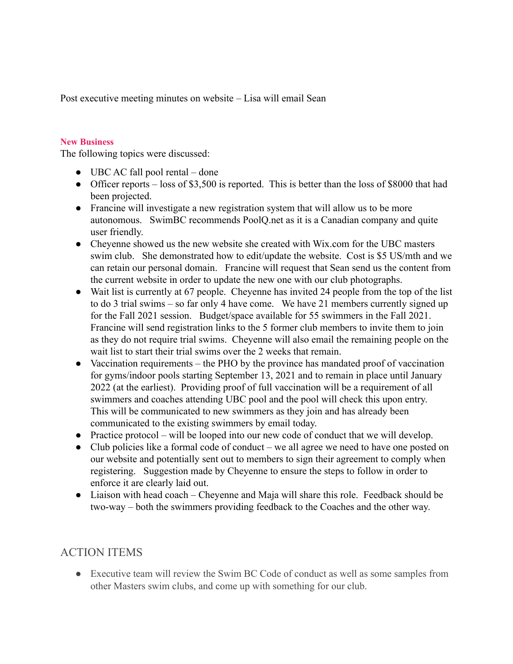Post executive meeting minutes on website – Lisa will email Sean

#### **New Business**

The following topics were discussed:

- $\bullet$  UBC AC fall pool rental done
- Officer reports loss of \$3,500 is reported. This is better than the loss of \$8000 that had been projected.
- Francine will investigate a new registration system that will allow us to be more autonomous. SwimBC recommends PoolQ.net as it is a Canadian company and quite user friendly.
- Cheyenne showed us the new website she created with Wix.com for the UBC masters swim club. She demonstrated how to edit/update the website. Cost is \$5 US/mth and we can retain our personal domain. Francine will request that Sean send us the content from the current website in order to update the new one with our club photographs.
- Wait list is currently at 67 people. Cheyenne has invited 24 people from the top of the list to do 3 trial swims – so far only 4 have come. We have 21 members currently signed up for the Fall 2021 session. Budget/space available for 55 swimmers in the Fall 2021. Francine will send registration links to the 5 former club members to invite them to join as they do not require trial swims. Cheyenne will also email the remaining people on the wait list to start their trial swims over the 2 weeks that remain.
- Vaccination requirements the PHO by the province has mandated proof of vaccination for gyms/indoor pools starting September 13, 2021 and to remain in place until January 2022 (at the earliest). Providing proof of full vaccination will be a requirement of all swimmers and coaches attending UBC pool and the pool will check this upon entry. This will be communicated to new swimmers as they join and has already been communicated to the existing swimmers by email today.
- Practice protocol will be looped into our new code of conduct that we will develop.
- Club policies like a formal code of conduct we all agree we need to have one posted on our website and potentially sent out to members to sign their agreement to comply when registering. Suggestion made by Cheyenne to ensure the steps to follow in order to enforce it are clearly laid out.
- Liaison with head coach Cheyenne and Maja will share this role. Feedback should be two-way – both the swimmers providing feedback to the Coaches and the other way.

### ACTION ITEMS

• Executive team will review the Swim BC Code of conduct as well as some samples from other Masters swim clubs, and come up with something for our club.